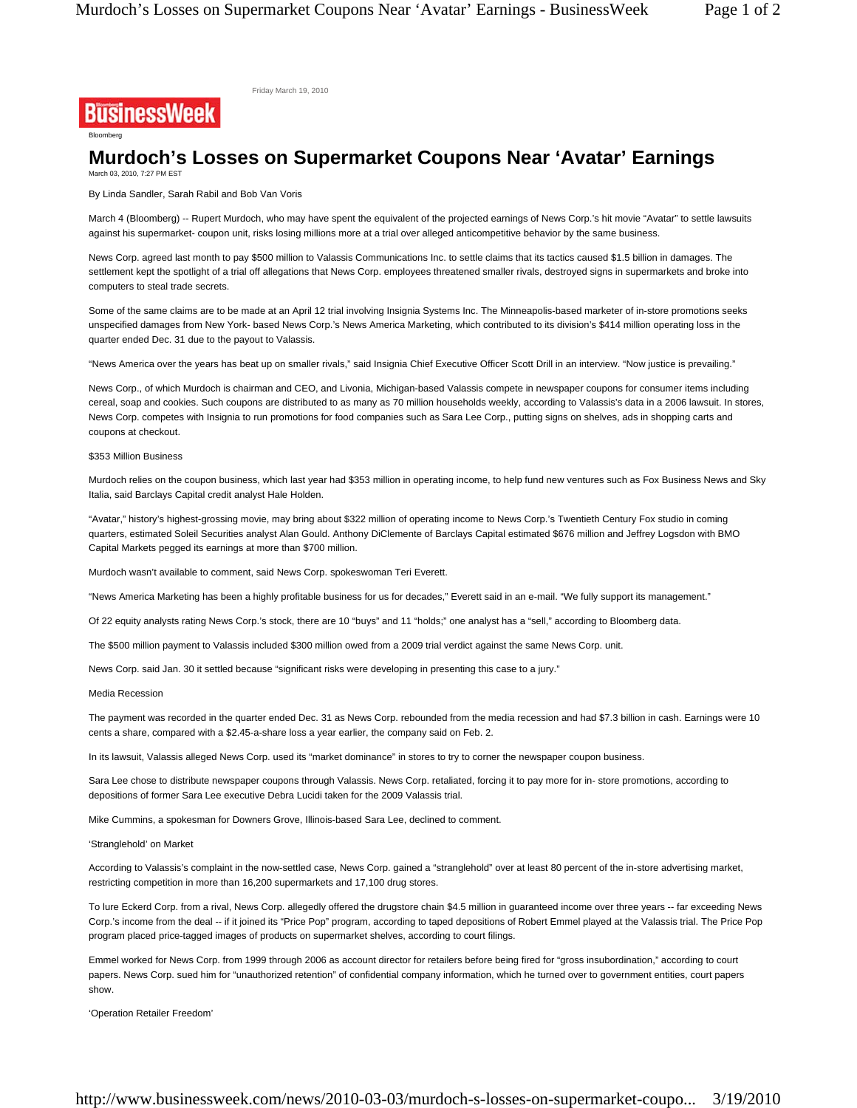Friday March 19, 2010

## **Murdoch's Losses on Supermarket Coupons Near 'Avatar' Earnings** March 03, 2010, 7:27 PM EST

By Linda Sandler, Sarah Rabil and Bob Van Voris

March 4 (Bloomberg) -- Rupert Murdoch, who may have spent the equivalent of the projected earnings of News Corp.'s hit movie "Avatar" to settle lawsuits against his supermarket- coupon unit, risks losing millions more at a trial over alleged anticompetitive behavior by the same business.

News Corp. agreed last month to pay \$500 million to Valassis Communications Inc. to settle claims that its tactics caused \$1.5 billion in damages. The settlement kept the spotlight of a trial off allegations that News Corp. employees threatened smaller rivals, destroyed signs in supermarkets and broke into computers to steal trade secrets.

Some of the same claims are to be made at an April 12 trial involving Insignia Systems Inc. The Minneapolis-based marketer of in-store promotions seeks unspecified damages from New York- based News Corp.'s News America Marketing, which contributed to its division's \$414 million operating loss in the quarter ended Dec. 31 due to the payout to Valassis.

"News America over the years has beat up on smaller rivals," said Insignia Chief Executive Officer Scott Drill in an interview. "Now justice is prevailing."

News Corp., of which Murdoch is chairman and CEO, and Livonia, Michigan-based Valassis compete in newspaper coupons for consumer items including cereal, soap and cookies. Such coupons are distributed to as many as 70 million households weekly, according to Valassis's data in a 2006 lawsuit. In stores, News Corp. competes with Insignia to run promotions for food companies such as Sara Lee Corp., putting signs on shelves, ads in shopping carts and coupons at checkout.

## \$353 Million Business

Bloomberg

**BusinessWeek** 

Murdoch relies on the coupon business, which last year had \$353 million in operating income, to help fund new ventures such as Fox Business News and Sky Italia, said Barclays Capital credit analyst Hale Holden.

"Avatar," history's highest-grossing movie, may bring about \$322 million of operating income to News Corp.'s Twentieth Century Fox studio in coming quarters, estimated Soleil Securities analyst Alan Gould. Anthony DiClemente of Barclays Capital estimated \$676 million and Jeffrey Logsdon with BMO Capital Markets pegged its earnings at more than \$700 million.

Murdoch wasn't available to comment, said News Corp. spokeswoman Teri Everett.

"News America Marketing has been a highly profitable business for us for decades," Everett said in an e-mail. "We fully support its management."

Of 22 equity analysts rating News Corp.'s stock, there are 10 "buys" and 11 "holds;" one analyst has a "sell," according to Bloomberg data.

The \$500 million payment to Valassis included \$300 million owed from a 2009 trial verdict against the same News Corp. unit.

News Corp. said Jan. 30 it settled because "significant risks were developing in presenting this case to a jury."

## Media Recession

The payment was recorded in the quarter ended Dec. 31 as News Corp. rebounded from the media recession and had \$7.3 billion in cash. Earnings were 10 cents a share, compared with a \$2.45-a-share loss a year earlier, the company said on Feb. 2.

In its lawsuit, Valassis alleged News Corp. used its "market dominance" in stores to try to corner the newspaper coupon business.

Sara Lee chose to distribute newspaper coupons through Valassis. News Corp. retaliated, forcing it to pay more for in- store promotions, according to depositions of former Sara Lee executive Debra Lucidi taken for the 2009 Valassis trial.

Mike Cummins, a spokesman for Downers Grove, Illinois-based Sara Lee, declined to comment.

## 'Stranglehold' on Market

According to Valassis's complaint in the now-settled case, News Corp. gained a "stranglehold" over at least 80 percent of the in-store advertising market, restricting competition in more than 16,200 supermarkets and 17,100 drug stores.

To lure Eckerd Corp. from a rival, News Corp. allegedly offered the drugstore chain \$4.5 million in guaranteed income over three years -- far exceeding News Corp.'s income from the deal -- if it joined its "Price Pop" program, according to taped depositions of Robert Emmel played at the Valassis trial. The Price Pop program placed price-tagged images of products on supermarket shelves, according to court filings.

Emmel worked for News Corp. from 1999 through 2006 as account director for retailers before being fired for "gross insubordination," according to court papers. News Corp. sued him for "unauthorized retention" of confidential company information, which he turned over to government entities, court papers show.

'Operation Retailer Freedom'